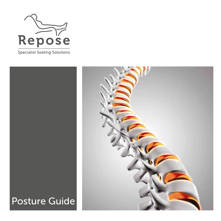



# Posture Guide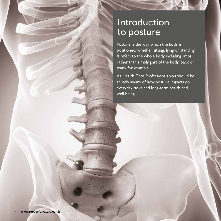# Introduction to posture

Posture is the way which the body is positioned, whether sitting, lying or standing. It refers to the whole body including limbs rather than simply part of the body, back or trunk for example.

As Health Care Professionals you should be acutely aware of how posture impacts on everyday tasks and long-term health and well-being.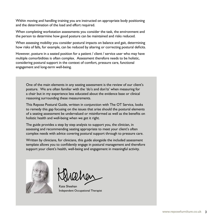Within moving and handling training you are instructed on appropriate body positioning and the determination of the load and effort required.

When completing workstation assessments you consider the task, the environment and the person to determine how good posture can be maintained and risks reduced.

When assessing mobility you consider postural impacts on balance and gait, determining how risks of falls, for example, can be reduced by altering or correcting postural deficits.

However, posture in a seated position for a patient / client / service user who may have multiple comorbidities is often complex. Assessment therefore needs to be holistic, considering postural support in the context of comfort, pressure care, functional engagement and long-term well-being.

One of the main elements in any seating assessment is the review of our client's posture. We are often familiar with the 'do's and don'ts' when measuring for a chair but in my experience less educated about the evidence base or clinical reasoning surrounding these measurements.

This Repose Postural Guide, written in conjunction with The OT Service, looks to remedy this gap focusing on the issues that arise should the postural elements of a seating assessment be undervalued or misinformed as well as the benefits on holistic health and well-being when we get it right.

The guide provides a step by step analysis to support you, the clinician, in assessing and recommending seating appropriate to meet your client's often complex needs with advice covering postural support through to pressure care.

Written by clinicians, for clinicians, this guide alongside the included assessment template allows you to confidently engage in postural management and therefore support your client's health, well-being and engagement in meaningful activity.



Kate Sheehan Independent Occupational Therapist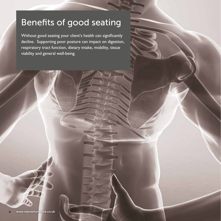# Benefits of good seating

Without good seating your client's health can significantly decline. Supporting poor posture can impact on digestion, respiratory tract function, dietary intake, mobility, tissue viability and general well-being.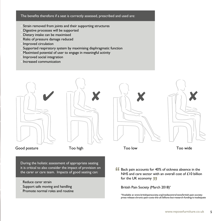#### The benefits therefore if a seat is correctly assessed, prescribed and used are:

- Strain removed from joints and their supporting structures
- Digestive processes will be supported
- Dietary intake can be maximised
- Risks of pressure damage reduced
- Improved circulation
- Supported respiratory system by maximising diaphragmatic function
- Maximised potential of user to engage in meaningful activity
- Improved social integration
- Increased communication



#### Good posture Too high Too high Too low Too osture Too wide



During the holistic assessment of appropriate seating it is critical to also consider the impact of provision on the carer or care team. Impacts of good seating can:

- Reduce carer strain
- Support safe moving and handling
- Promote normal roles and routine



**f** Back pain accounts for 40% of sickness absence in the NHS and care sector with an overall cost of £10 billion for the UK economy

British Pain Society (March 2018)\*

\*Available at www.britishpainsociety.org/mediacentre/news/british-pain-societypress-release-chronic-pain-costs-the-uk-billions-but-research-funding-is-inadequate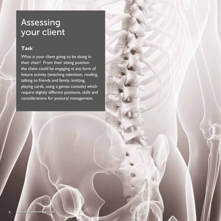# **Assessing** your client

# **Task**

What is your client going to be doing in their chair? From their sitting position the client could be engaging in any form of leisure activity (watching television, reading, talking to friends and family, knitting, playing cards, using a games console) which require slightly different positions, skills and considerations for postural management.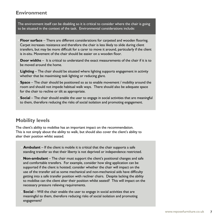### **Environment**

The environment itself can be disabling so it is critical to consider where the chair is going to be situated in the context of the task. Environmental considerations include:

- **Floor surface** There are different considerations for carpeted and wooden flooring. Carpet increases resistance and therefore the chair is less likely to slide during client transfers, but may be more difficult for a carer to move it around, particularly if the client is in-situ. Movement of the chair should be easier on a wooden floor.
- **Door widths** It is critical to understand the exact measurements of the chair if it is to be moved around the home.
- **Lighting** The chair should be situated where lighting supports engagement in activity whether that be maximising task lighting or reducing glare.
- **Space** The chair should be positioned so as to enable movement / mobility around the room and should not impede habitual walk ways. There should also be adequate space for the chair to recline or tilt as appropriate.
- **Social** The chair should enable the user to engage in social activities that are meaningful to them, therefore reducing the risks of social isolation and promoting engagement.

# **Mobility levels**

The client's ability to mobilise has an important impact on the recommendation. This is not simply about the ability to walk, but should also cover the client's ability to alter their position whilst seated.

- **Ambulant** If the client is mobile it is critical that the chair supports a safe standing transfer so that their liberty is not deprived or independence restricted.
- **Non-ambulant** The chair must support the client's positional changes and safe and comfortable transfers. For example, consider how sling application can be supported if the client is hoisted; consider whether the chair will impact on the use of the transfer aid as some mechanical and non-mechanical aids have difficulty getting into a safe transfer position with recliner chairs. Despite lacking the ability to mobilise can the client alter their position whilst seated? This will impact on the necessary pressure relieving requirements.
- **Social** Will the chair enable the user to engage in social activities that are meaningful to them, therefore reducing risks of social isolation and promoting engagement?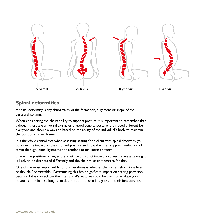

# **Spinal deformities**

A spinal deformity is any abnormality of the formation, alignment or shape of the vertebral column.

When considering the chairs ability to support posture it is important to remember that although there are universal examples of good general posture it is indeed different for everyone and should always be based on the ability of the individual's body to maintain the position of their frame.

It is therefore critical that when assessing seating for a client with spinal deformity you consider the impact on their normal posture and how the chair supports reduction of strain through joints, ligaments and tendons to maximise comfort.

Due to the positional changes there will be a distinct impact on pressure areas as weight is likely to be distributed differently and the chair must compensate for this.

One of the most important first considerations is whether the spinal deformity is fixed or flexible / correctable. Determining this has a significant impact on seating provision because if it is correctable the chair and it's features could be used to facilitate good posture and minimise long-term deterioration of skin integrity and their functionality.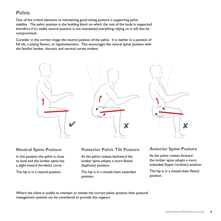# **Pelvis**

One of the critical elements to maintaining good sitting posture is supporting pelvic stability. The pelvic position is the building block on which the rest of the body is supported therefore if it's stable neutral position is not maintained everything relying on it will also be compromised.

Consider in the correct image the neutral position of the pelvis. It is neither in a position of full tilt, creating flexion, or hyperextension. This encourages the natural spinal position with the familiar lumbar, thoracic and cervical curves evident.



### **Neutral Spine Posture**

In this position the pelvis is close to level and the lumbar spine has a slight inward (Iordotic) curve.

The hip is in a neutral position.

### **Posterior Pelvic Tilt Posture**

As the pelvis rotates backward the lumbar spine adopts a more flexed (kyphotic) position.

The hip is in a closed-chain extended position.

### **Anterior Spine Posture**

As the pelvis rotates forward the lumbar spine adopts a more extended (hyper-Iordotic) position.

The hip is in a closed-chain flexed position.

Where the client is unable to maintain or initiate the correct pelvic position then postural management systems can be considered to provide this support.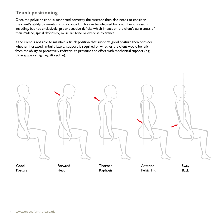# **Trunk positioning**

Once the pelvic position is supported correctly the assessor then also needs to consider the client's ability to maintain trunk control. This can be inhibited for a number of reasons including, but not exclusively, proprioceptive deficits which impact on the client's awareness of their midline, spinal deformity, muscular tone or exercise tolerance.

If the client is not able to maintain a trunk position that supports good posture then consider whether increased, in-built, lateral support is required or whether the client would benefit from the ability to proactively redistribute pressure and effort with mechanical support (e.g. tilt in space or high leg lift recline).

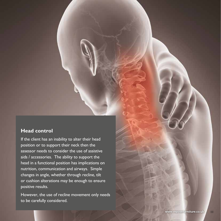## **Head control**

If the client has an inability to alter their head position or to support their neck then the assessor needs to consider the use of assistive aids / accessories. The ability to support the head in a functional position has implications on nutrition, communication and airways. Simple changes in angle, whether through recline, tilt or cushion alterations may be enough to ensure positive results.

However, the use of recline movement only needs to be carefully considered.

11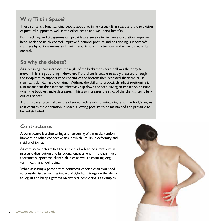# **Why Tilt in Space?**

There remains a long standing debate about reclining versus tilt-in-space and the provision of postural support as well as the other health and well-being benefits.

Both reclining and tilt systems can provide pressure relief, increase circulation, improve head, neck and trunk control, improve functional posture and positioning, support safe transfers by various means and minimise variations / fluctuations in the client's muscular control.

# **So why the debate?**

As a reclining chair increases the angle of the backrest to seat it allows the body to move. This is a good thing. However, if the client is unable to apply pressure through the footplates to support repositioning of the bottom then repeated shear can cause significant skin damage over time. Without the ability to proactively adjust positioning it also means that the client can effectively slip down the seat, having an impact on posture when the backrest angle decreases. This also increases the risks of the client slipping fully out of the seat.

A tilt in space system allows the client to recline whilst maintaining all of the body's angles as it changes the orientation in space, allowing posture to be maintained and pressure to be redistributed.

## **Contractures**

A contracture is a shortening and hardening of a muscle, tendon, ligament or other connective tissue which results in deformity and rigidity of joints.

As with spinal deformities the impact is likely to be alterations in pressure distribution and functional engagement. The chair must therefore support the client's abilities as well as ensuring longterm health and well-being.

When assessing a person with contractures for a chair you need to consider issues such as impact of tight hamstrings on the ability to leg lift and bicep tightness on armrest positioning, as examples.

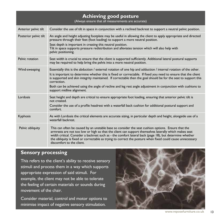|                       | <b>Achieving good posture</b><br>(Always ensure that all measurements are accurate)                                                                                                                                                                                                                                                                                                                                                                                                                                 |
|-----------------------|---------------------------------------------------------------------------------------------------------------------------------------------------------------------------------------------------------------------------------------------------------------------------------------------------------------------------------------------------------------------------------------------------------------------------------------------------------------------------------------------------------------------|
| Anterior pelvic tilt  | Consider the use of tilt in space in conjunction with a reclined backrest to support a neutral pelvic position.                                                                                                                                                                                                                                                                                                                                                                                                     |
| Posterior pelvic tilt | An angle and height adjusting footplate may be useful in allowing the client to apply appropriate and directed<br>pressure through their feet (foot loading) to support a more neutral position.<br>Seat depth is important in creating this neutral position.<br>Tilt in space supports pressure redistribution and alleviates tension which will also help with<br>pelvic positioning.                                                                                                                            |
| Pelvic rotation       | Seat width is crucial to ensure that the client is supported sufficiently. Additional lateral postural supports<br>may be required to help bring the pelvis into a more neutral position.                                                                                                                                                                                                                                                                                                                           |
| Wind-sweeping         | Essentially this is the abduction / external rotation of one hip and adduction / internal rotation of the other.<br>It is important to determine whether this is fixed or correctable. If fixed you need to ensure that the client<br>is supported and skin integrity maintained. If correctable then the goal should be for the seat to support this<br>correction.<br>Both can be achieved using the angle of recline and leg rest angle adjustment in conjunction with cushions to<br>support midline alignment. |
| Lordosis              | Seat height and depth are critical to ensure appropriate foot loading, ensuring that anterior pelvic tilt is<br>not created.<br>Consider the use of a profile headrest with a waterfall back cushion for additional postural support and<br>comfort.                                                                                                                                                                                                                                                                |
| Kyphosis              | As with Lordosis the critical elements are accurate sizing, in particular depth and height, alongside use of a<br>waterfall backrest.                                                                                                                                                                                                                                                                                                                                                                               |
| Pelvic obliquity      | This can often be caused by an unstable base so consider the seat cushion options. Ensure that the<br>armrests are not too low or high so that the client can support themselves laterally which makes seat<br>width critical. Consider a backrest such as - the comfort lateral back (page 18), but determine whether<br>the obliquity is fixed or correctable as trying to correct the posture when fixed could cause unnecessary<br>discomfort to the client.                                                    |

# **Sensory processing**

This refers to the client's ability to receive sensory stimuli and process them in a way which supports appropriate expression of said stimuli. For example, the client may not be able to tolerate the feeling of certain materials or sounds during movement of the chair.

Consider material, control and motor options to minimise impact of negative sensory stimulation.

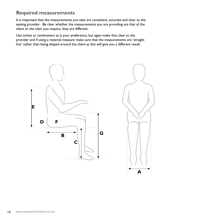# **Required measurements**

It is important that the measurements you take are consistent, accurate and clear to the seating provider. Be clear whether the measurements you are providing are that of the client or the chair you require, they are different.

Use inches or centimeters as is your preference, but again make that clear to the provider and if using a material measure make sure that the measurements are 'straight line' rather than being shaped around the client as this will give you a different result.



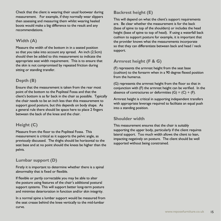Check that the client is wearing their usual footwear during measurement. For example, if they normally wear slippers then assessing and measuring them whilst wearing heeled boots would make a big difference to the result and any recommendations.

## **Width (A)**

Measure the width of the bottom in in a seated position so that you take into account any spread. An inch (2.5cm) should then be added to this measurement to indicate the appropriate seat width requirement. This is to ensure that the skin is not compromised by repeated friction during sitting or standing transfer.

## **Depth (B)**

Ensure that the measurement is taken from the rear most point of the bottom to the Popliteal Fossa and that the client's bottom is as far back in the chair as possible. Typically the chair needs to be an inch less than this measurement to support good posture, but this depends on body shape. As a general rule there should be space here to place 2 fingers between the back of the knee and the chair.

## **Height (C)**

Measure from the floor to the Popliteal Fossa. This measurement is critical as it supports the pelvic angle, as previously discussed. The thighs should be horizontal to the seat base and at no point should the knees be higher than the pelvis.

## **Lumbar support (D)**

Firstly it is important to determine whether there is a spinal abnormality that is fixed or flexible.

If flexible or partly correctable you may be able to alter the posture using features of the chair's additional postural support systems. This will support better long-term posture and minimise deterioration in function and/or skin integrity.

In a normal spine a lumbar support would be measured from the seat crease behind the knee vertically to the mid-lumbar curve.

## **Backrest height (E)**

This will depend on what the client's support requirements are. Be clear whether the measurement is for the back (base of spine to top of the shoulders) or includes the head height (base of spine to top of head). If using a waterfall back cushion to support posture for example, it is important that the provider knows what the measurements incorporate so that they can differentiate between back and head / neck support.

## **Armrest height (F & G)**

(F) represents the armrest height from the seat base (cushion) to the forearm when in a 90 degree flexed position from the humerus.

(G) represents the armrest height from the floor so that in conjunction with (F) the armrest height can be verified. In the absence of contractures or deformities  $(G) = (C) + (F)$ .

Armrest height is critical in supporting independent transfers with appropriate leverage required to facilitate an equal push into a standing position.

### **Shoulder width**

This measurement ensures that the chair is suitably supporting the upper body, particularly if the client requires lateral support. Too much width allows the client to lean, impacting negatively on posture. The client should be well supported without being constrained.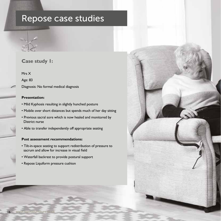# Repose case studies

## **Case study 1:**

Mrs X

Age: 83

Diagnosis: No formal medical diagnosis

#### **Presentation:**

- Mild Kyphosis resulting in slightly hunched posture
- Mobile over short distances but spends much of her day sitting
- Previous sacral sore which is now healed and monitored by District nurse
- Able to transfer independently off appropriate seating

#### **Post assessment recommendations:**

- Tilt-in-space seating to support redistribution of pressure to sacrum and allow for increase in visual field
- Waterfall backrest to provide postural support
- Repose Liquiform pressure cushion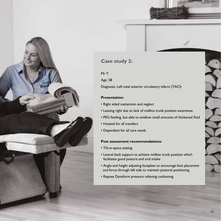

# **Case study 2:**

Mr Y

Age: 58

Diagnosis: Left total anterior circulatory infarct (TACI)

#### **Presentation:**

- Right sided inattention and neglect
- Leaning right due to lack of midline trunk position awareness
- PEG feeding, but able to swallow small amounts of thickened fluid
- Hoisted for all transfers
- Dependent for all care needs

#### **Post assessment recommendations:**

- Tilt-in-space seating
- Lateral back support to achieve midline trunk position which facilitates good posture and oral intake
- Angle and height adjusting footplate to encourage foot placement and force through left side to maintain postural positioning
- Repose Dynaform pressure relieving cushioning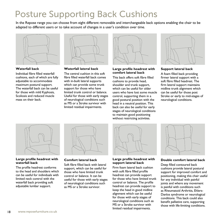# Posture Supporting Back Cushions

In the Repose range you can choose from eight different removable and interchangeable back options enabling the chair to be adapted to different users or to take account of changes in a user's condition over time.



#### **Waterfall back**

Individual fibre filled waterfall cushions, each of which are fully adjustable to accommodate maximum postural support. The waterfall back can be useful for those with mild Kyphosis, Scoliosis and reduced muscle mass on their back.



#### **Waterfall lateral back**

The central cushion in this soft fibre filled waterfall back comes with in-built lateral supports which can provide some trunk support for those who have limited trunk control or balance. Useful for those with early stages of neurological conditions such as MS or a Stroke survivor with limited residual impairments.



#### **Large profile headrest with comfort lateral back**

This back offers soft fibre filled cushions to provide head, shoulder and trunk support, which can be useful for older users who have lost some muscle control, supporting them in a good postural position with the head in a neutral position. This back can also be useful for early stages of neurological conditions to maintain good positioning without restricting activities.



#### **Support lateral back**

A foam filled back providing firmer lateral support with a soft fibre filled headrest. The firm lateral support maintains midline trunk alignment which can be useful for those post Stroke or early to mid-stages of neurological conditions.



#### **Large profile headrest with waterfall back**

The profile headrest conforms to the head and shoulders which can be useful for individuals with limited neck control with the waterfall back providing soft adjustable lumbar support.



#### **Comfort lateral back**

Soft fibre filled back with lateral support, which can be useful for those who have limited trunk control or balance. It can be useful for those with early stages of neurological conditions such as MS or a Stroke survivor.



#### **Large profile headrest with support lateral back**

Firm foam lateral back cushion with soft fibre filled profile headrest can provide support for those who have limited trunk control or balance. The profile headrest can provide support to keep the head in good midline alignment which can be useful for those with early stages of neurological conditions such as MS or a Stroke survivor with limited residual impairments.



#### **Double comfort lateral back**

Deep filled contoured back cushions provide lateral postural support for improved comfort and positioning, making this chair useful for any individual with painful joints and where any movement is painful with conditions such as Rheumatoid Arthritis, Ehlers-Danlos syndrome or neurological conditions. This back could also benefit palliative care, supporting those with life-limiting conditions.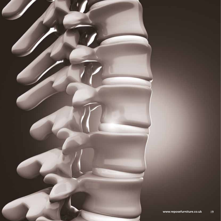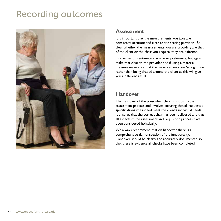# Recording outcomes



### **Assessment**

It is important that the measurements you take are consistent, accurate and clear to the seating provider. Be clear whether the measurements you are providing are that of the client or the chair you require, they are different.

Use inches or centimeters as is your preference, but again make that clear to the provider and if using a material measure make sure that the measurements are 'straight line' rather than being shaped around the client as this will give you a different result.

# **Handover**

The handover of the prescribed chair is critical to the assessment process and involves ensuring that all requested specifications will indeed meet the client's individual needs. It ensures that the correct chair has been delivered and that all aspects of the assessment and requisition process have been considered holistically.

We always recommend that on handover there is a comprehensive demonstration of the functionality. Handover should be clearly and accurately documented so that there is evidence all checks have been completed.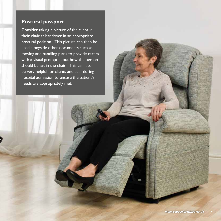## **Postural passport**

Consider taking a picture of the client in their chair at handover in an appropriate postural position. This picture can then be used alongside other documents such as moving and handling plans to provide carers with a visual prompt about how the person should be sat in the chair. This can also be very helpful for clients and staff during hospital admission to ensure the patient's needs are appropriately met.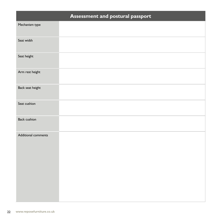# **Assessment and postural passport**

| Mechanism type      |  |
|---------------------|--|
| Seat width          |  |
| Seat height         |  |
| Arm rest height     |  |
| Back seat height    |  |
| Seat cushion        |  |
| <b>Back cushion</b> |  |
| Additional comments |  |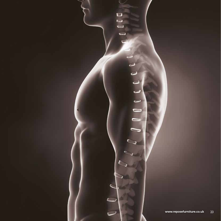